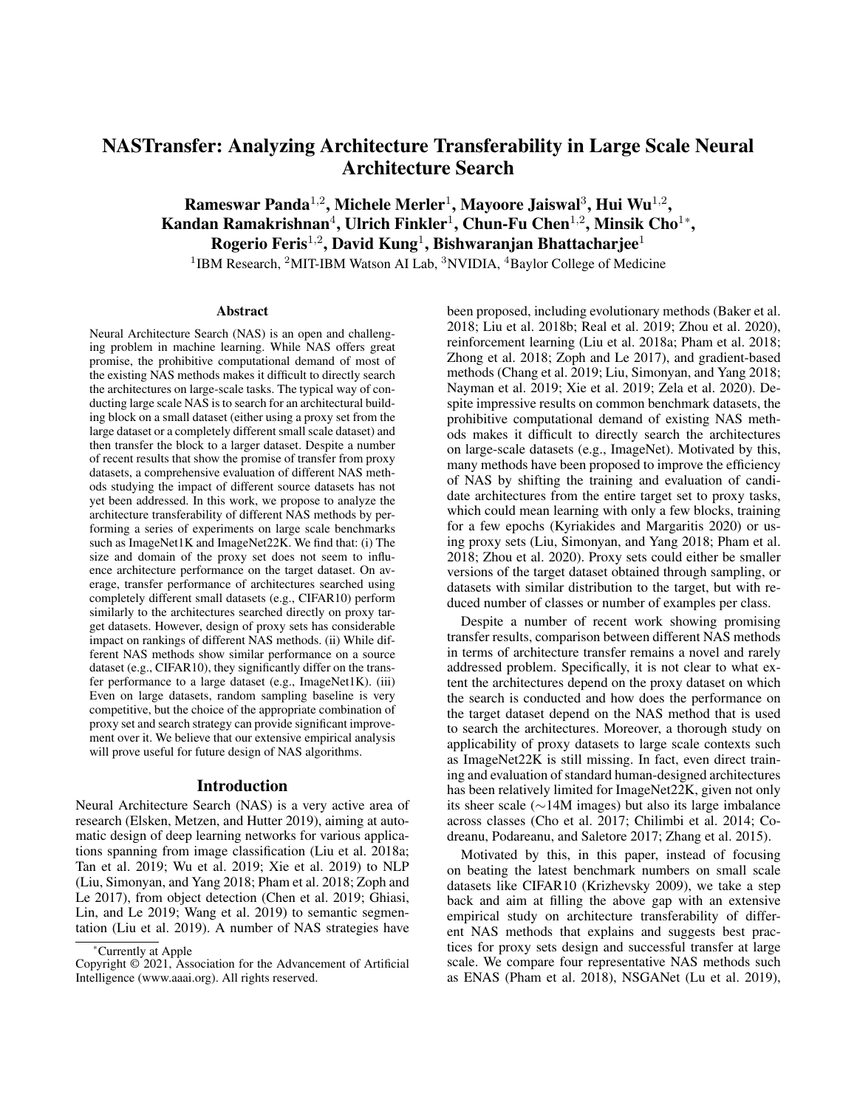# NASTransfer: Analyzing Architecture Transferability in Large Scale Neural Architecture Search

Rameswar Panda<sup>1,2</sup>, Michele Merler<sup>1</sup>, Mayoore Jaiswal<sup>3</sup>, Hui Wu<sup>1,2</sup>, Kandan Ramakrishnan<sup>4</sup>, Ulrich Finkler<sup>1</sup>, Chun-Fu Chen<sup>1,2</sup>, Minsik Cho<sup>1\*</sup>, Rogerio Feris<sup>1,2</sup>, David Kung<sup>1</sup>, Bishwaranjan Bhattacharjee<sup>1</sup>

<sup>1</sup>IBM Research, <sup>2</sup>MIT-IBM Watson AI Lab, <sup>3</sup>NVIDIA, <sup>4</sup>Baylor College of Medicine

#### **Abstract**

Neural Architecture Search (NAS) is an open and challenging problem in machine learning. While NAS offers great promise, the prohibitive computational demand of most of the existing NAS methods makes it difficult to directly search the architectures on large-scale tasks. The typical way of conducting large scale NAS is to search for an architectural building block on a small dataset (either using a proxy set from the large dataset or a completely different small scale dataset) and then transfer the block to a larger dataset. Despite a number of recent results that show the promise of transfer from proxy datasets, a comprehensive evaluation of different NAS methods studying the impact of different source datasets has not yet been addressed. In this work, we propose to analyze the architecture transferability of different NAS methods by performing a series of experiments on large scale benchmarks such as ImageNet1K and ImageNet22K. We find that: (i) The size and domain of the proxy set does not seem to influence architecture performance on the target dataset. On average, transfer performance of architectures searched using completely different small datasets (e.g., CIFAR10) perform similarly to the architectures searched directly on proxy target datasets. However, design of proxy sets has considerable impact on rankings of different NAS methods. (ii) While different NAS methods show similar performance on a source dataset (e.g., CIFAR10), they significantly differ on the transfer performance to a large dataset (e.g., ImageNet1K). (iii) Even on large datasets, random sampling baseline is very competitive, but the choice of the appropriate combination of proxy set and search strategy can provide significant improvement over it. We believe that our extensive empirical analysis will prove useful for future design of NAS algorithms.

#### Introduction

Neural Architecture Search (NAS) is a very active area of research (Elsken, Metzen, and Hutter 2019), aiming at automatic design of deep learning networks for various applications spanning from image classification (Liu et al. 2018a; Tan et al. 2019; Wu et al. 2019; Xie et al. 2019) to NLP (Liu, Simonyan, and Yang 2018; Pham et al. 2018; Zoph and Le 2017), from object detection (Chen et al. 2019; Ghiasi, Lin, and Le 2019; Wang et al. 2019) to semantic segmentation (Liu et al. 2019). A number of NAS strategies have been proposed, including evolutionary methods (Baker et al. 2018; Liu et al. 2018b; Real et al. 2019; Zhou et al. 2020), reinforcement learning (Liu et al. 2018a; Pham et al. 2018; Zhong et al. 2018; Zoph and Le 2017), and gradient-based methods (Chang et al. 2019; Liu, Simonyan, and Yang 2018; Nayman et al. 2019; Xie et al. 2019; Zela et al. 2020). Despite impressive results on common benchmark datasets, the prohibitive computational demand of existing NAS methods makes it difficult to directly search the architectures on large-scale datasets (e.g., ImageNet). Motivated by this, many methods have been proposed to improve the efficiency of NAS by shifting the training and evaluation of candidate architectures from the entire target set to proxy tasks, which could mean learning with only a few blocks, training for a few epochs (Kyriakides and Margaritis 2020) or using proxy sets (Liu, Simonyan, and Yang 2018; Pham et al. 2018; Zhou et al. 2020). Proxy sets could either be smaller versions of the target dataset obtained through sampling, or datasets with similar distribution to the target, but with reduced number of classes or number of examples per class.

Despite a number of recent work showing promising transfer results, comparison between different NAS methods in terms of architecture transfer remains a novel and rarely addressed problem. Specifically, it is not clear to what extent the architectures depend on the proxy dataset on which the search is conducted and how does the performance on the target dataset depend on the NAS method that is used to search the architectures. Moreover, a thorough study on applicability of proxy datasets to large scale contexts such as ImageNet22K is still missing. In fact, even direct training and evaluation of standard human-designed architectures has been relatively limited for ImageNet22K, given not only its sheer scale ( $\sim$ 14M images) but also its large imbalance across classes (Cho et al. 2017; Chilimbi et al. 2014; Codreanu, Podareanu, and Saletore 2017; Zhang et al. 2015).

Motivated by this, in this paper, instead of focusing on beating the latest benchmark numbers on small scale datasets like CIFAR10 (Krizhevsky 2009), we take a step back and aim at filling the above gap with an extensive empirical study on architecture transferability of different NAS methods that explains and suggests best practices for proxy sets design and successful transfer at large scale. We compare four representative NAS methods such as ENAS (Pham et al. 2018), NSGANet (Lu et al. 2019),

<sup>\*</sup>Currently at Apple

Copyright © 2021, Association for the Advancement of Artificial Intelligence (www.aaai.org). All rights reserved.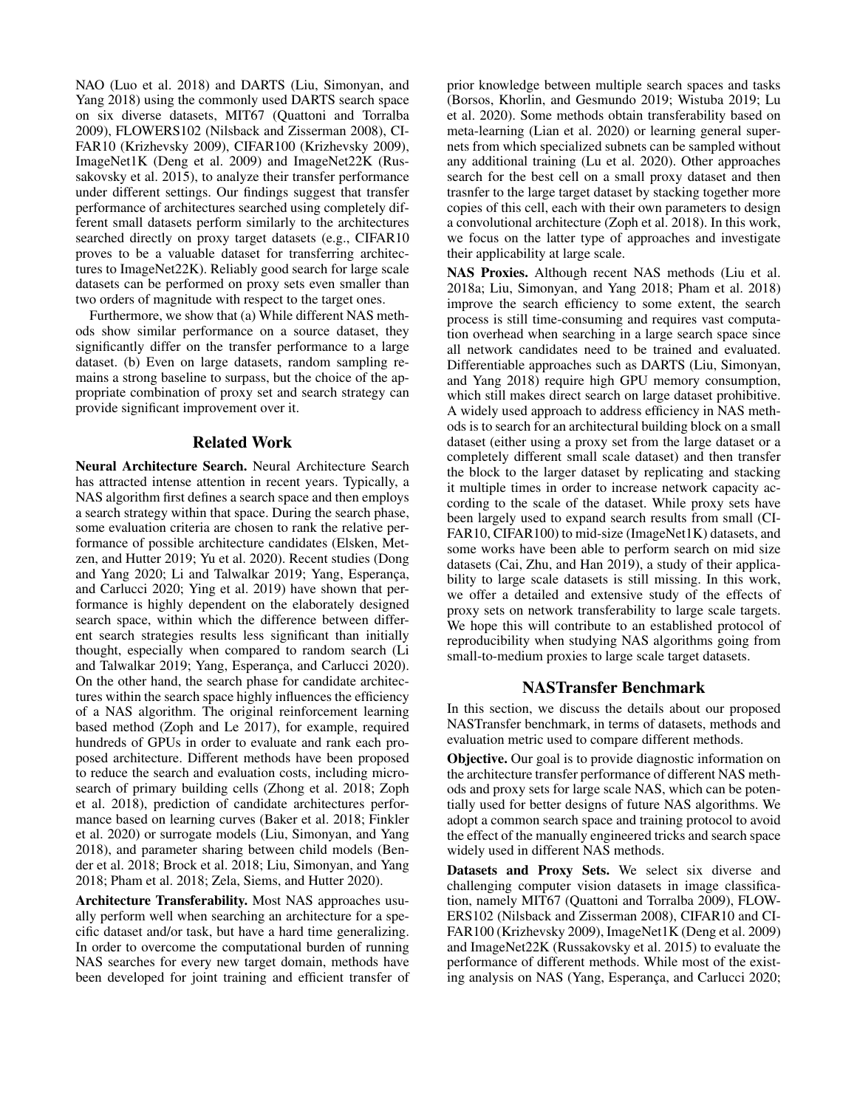NAO (Luo et al. 2018) and DARTS (Liu, Simonyan, and Yang 2018) using the commonly used DARTS search space on six diverse datasets, MIT67 (Quattoni and Torralba 2009), FLOWERS102 (Nilsback and Zisserman 2008), CI-FAR10 (Krizhevsky 2009), CIFAR100 (Krizhevsky 2009), ImageNet1K (Deng et al. 2009) and ImageNet22K (Russakovsky et al. 2015), to analyze their transfer performance under different settings. Our findings suggest that transfer performance of architectures searched using completely different small datasets perform similarly to the architectures searched directly on proxy target datasets (e.g., CIFAR10 proves to be a valuable dataset for transferring architectures to ImageNet22K). Reliably good search for large scale datasets can be performed on proxy sets even smaller than two orders of magnitude with respect to the target ones.

Furthermore, we show that (a) While different NAS methods show similar performance on a source dataset, they significantly differ on the transfer performance to a large dataset. (b) Even on large datasets, random sampling remains a strong baseline to surpass, but the choice of the appropriate combination of proxy set and search strategy can provide significant improvement over it.

## Related Work

Neural Architecture Search. Neural Architecture Search has attracted intense attention in recent years. Typically, a NAS algorithm first defines a search space and then employs a search strategy within that space. During the search phase, some evaluation criteria are chosen to rank the relative performance of possible architecture candidates (Elsken, Metzen, and Hutter 2019; Yu et al. 2020). Recent studies (Dong and Yang 2020; Li and Talwalkar 2019; Yang, Esperança, and Carlucci 2020; Ying et al. 2019) have shown that performance is highly dependent on the elaborately designed search space, within which the difference between different search strategies results less significant than initially thought, especially when compared to random search (Li and Talwalkar 2019; Yang, Esperança, and Carlucci 2020). On the other hand, the search phase for candidate architectures within the search space highly influences the efficiency of a NAS algorithm. The original reinforcement learning based method (Zoph and Le 2017), for example, required hundreds of GPUs in order to evaluate and rank each proposed architecture. Different methods have been proposed to reduce the search and evaluation costs, including microsearch of primary building cells (Zhong et al. 2018; Zoph et al. 2018), prediction of candidate architectures performance based on learning curves (Baker et al. 2018; Finkler et al. 2020) or surrogate models (Liu, Simonyan, and Yang 2018), and parameter sharing between child models (Bender et al. 2018; Brock et al. 2018; Liu, Simonyan, and Yang 2018; Pham et al. 2018; Zela, Siems, and Hutter 2020).

Architecture Transferability. Most NAS approaches usually perform well when searching an architecture for a specific dataset and/or task, but have a hard time generalizing. In order to overcome the computational burden of running NAS searches for every new target domain, methods have been developed for joint training and efficient transfer of prior knowledge between multiple search spaces and tasks (Borsos, Khorlin, and Gesmundo 2019; Wistuba 2019; Lu et al. 2020). Some methods obtain transferability based on meta-learning (Lian et al. 2020) or learning general supernets from which specialized subnets can be sampled without any additional training (Lu et al. 2020). Other approaches search for the best cell on a small proxy dataset and then trasnfer to the large target dataset by stacking together more copies of this cell, each with their own parameters to design a convolutional architecture (Zoph et al. 2018). In this work, we focus on the latter type of approaches and investigate their applicability at large scale.

NAS Proxies. Although recent NAS methods (Liu et al. 2018a; Liu, Simonyan, and Yang 2018; Pham et al. 2018) improve the search efficiency to some extent, the search process is still time-consuming and requires vast computation overhead when searching in a large search space since all network candidates need to be trained and evaluated. Differentiable approaches such as DARTS (Liu, Simonyan, and Yang 2018) require high GPU memory consumption, which still makes direct search on large dataset prohibitive. A widely used approach to address efficiency in NAS methods is to search for an architectural building block on a small dataset (either using a proxy set from the large dataset or a completely different small scale dataset) and then transfer the block to the larger dataset by replicating and stacking it multiple times in order to increase network capacity according to the scale of the dataset. While proxy sets have been largely used to expand search results from small (CI-FAR10, CIFAR100) to mid-size (ImageNet1K) datasets, and some works have been able to perform search on mid size datasets (Cai, Zhu, and Han 2019), a study of their applicability to large scale datasets is still missing. In this work, we offer a detailed and extensive study of the effects of proxy sets on network transferability to large scale targets. We hope this will contribute to an established protocol of reproducibility when studying NAS algorithms going from small-to-medium proxies to large scale target datasets.

## NASTransfer Benchmark

In this section, we discuss the details about our proposed NASTransfer benchmark, in terms of datasets, methods and evaluation metric used to compare different methods.

Objective. Our goal is to provide diagnostic information on the architecture transfer performance of different NAS methods and proxy sets for large scale NAS, which can be potentially used for better designs of future NAS algorithms. We adopt a common search space and training protocol to avoid the effect of the manually engineered tricks and search space widely used in different NAS methods.

Datasets and Proxy Sets. We select six diverse and challenging computer vision datasets in image classification, namely MIT67 (Quattoni and Torralba 2009), FLOW-ERS102 (Nilsback and Zisserman 2008), CIFAR10 and CI-FAR100 (Krizhevsky 2009), ImageNet1K (Deng et al. 2009) and ImageNet22K (Russakovsky et al. 2015) to evaluate the performance of different methods. While most of the existing analysis on NAS (Yang, Esperança, and Carlucci 2020;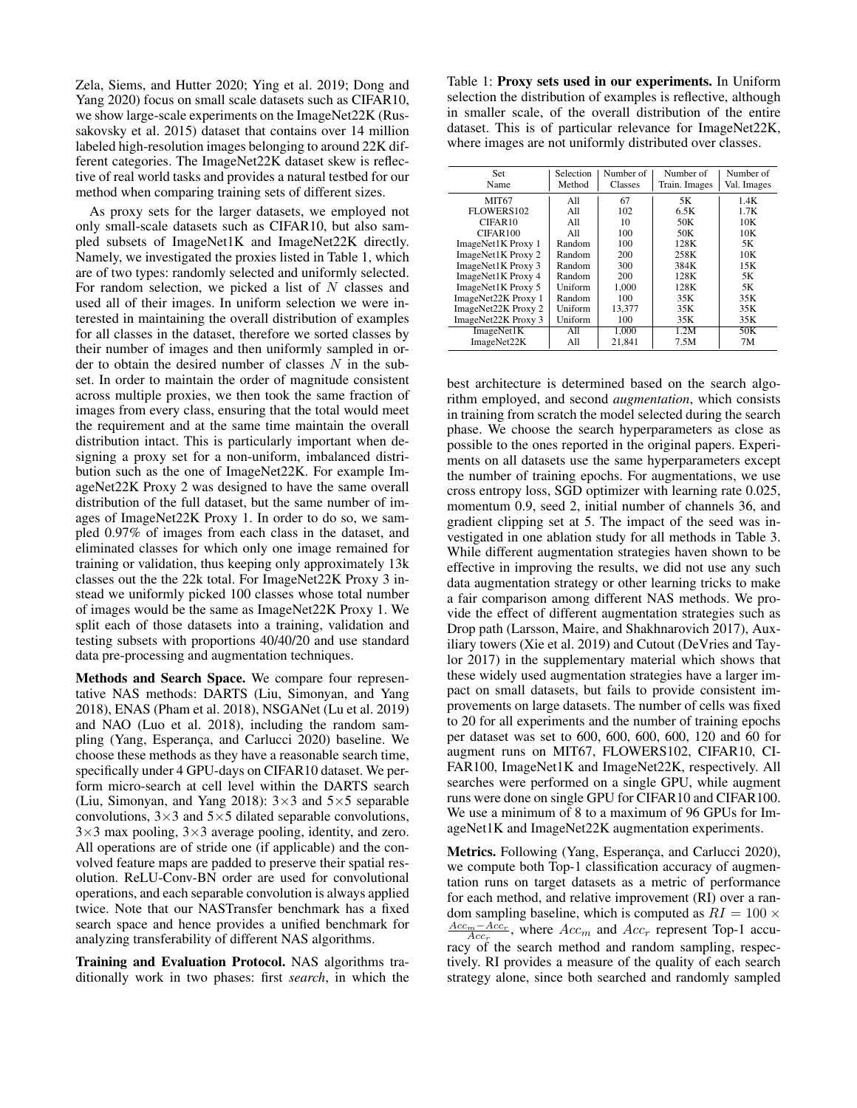Zela, Siems, and Hutter 2020; Ying et al. 2019; Dong and Yang 2020) focus on small scale datasets such as CIFAR10, we show large-scale experiments on the ImageNet22K (Russakovsky et al. 2015) dataset that contains over 14 million labeled high-resolution images belonging to around 22K different categories. The ImageNet22K dataset skew is reflective of real world tasks and provides a natural testbed for our method when comparing training sets of different sizes.

As proxy sets for the larger datasets, we employed not only small-scale datasets such as CIFAR10, but also sampled subsets of ImageNet1K and ImageNet22K directly. Namely, we investigated the proxies listed in Table 1, which are of two types: randomly selected and uniformly selected. For random selection, we picked a list of *N* classes and used all of their images. In uniform selection we were interested in maintaining the overall distribution of examples for all classes in the dataset, therefore we sorted classes by their number of images and then uniformly sampled in order to obtain the desired number of classes *N* in the subset. In order to maintain the order of magnitude consistent across multiple proxies, we then took the same fraction of images from every class, ensuring that the total would meet the requirement and at the same time maintain the overall distribution intact. This is particularly important when designing a proxy set for a non-uniform, imbalanced distribution such as the one of ImageNet22K. For example ImageNet22K Proxy 2 was designed to have the same overall distribution of the full dataset, but the same number of images of ImageNet22K Proxy 1. In order to do so, we sampled 0.97% of images from each class in the dataset, and eliminated classes for which only one image remained for training or validation, thus keeping only approximately 13k classes out the the 22k total. For ImageNet22K Proxy 3 instead we uniformly picked 100 classes whose total number of images would be the same as ImageNet22K Proxy 1. We split each of those datasets into a training, validation and testing subsets with proportions 40/40/20 and use standard data pre-processing and augmentation techniques.

Methods and Search Space. We compare four representative NAS methods: DARTS (Liu, Simonyan, and Yang 2018), ENAS (Pham et al. 2018), NSGANet (Lu et al. 2019) and NAO (Luo et al. 2018), including the random sampling (Yang, Esperança, and Carlucci 2020) baseline. We choose these methods as they have a reasonable search time, specifically under 4 GPU-days on CIFAR10 dataset. We perform micro-search at cell level within the DARTS search (Liu, Simonyan, and Yang 2018):  $3 \times 3$  and  $5 \times 5$  separable convolutions,  $3 \times 3$  and  $5 \times 5$  dilated separable convolutions,  $3\times3$  max pooling,  $3\times3$  average pooling, identity, and zero. All operations are of stride one (if applicable) and the convolved feature maps are padded to preserve their spatial resolution. ReLU-Conv-BN order are used for convolutional operations, and each separable convolution is always applied twice. Note that our NASTransfer benchmark has a fixed search space and hence provides a unified benchmark for analyzing transferability of different NAS algorithms.

Training and Evaluation Protocol. NAS algorithms traditionally work in two phases: first *search*, in which the

Table 1: Proxy sets used in our experiments. In Uniform selection the distribution of examples is reflective, although in smaller scale, of the overall distribution of the entire dataset. This is of particular relevance for ImageNet22K, where images are not uniformly distributed over classes.

| Set<br>Name         | Selection<br>Method | Number of<br>Classes | Number of<br>Train. Images | Number of<br>Val. Images |  |
|---------------------|---------------------|----------------------|----------------------------|--------------------------|--|
| <b>MIT67</b>        | All                 | 67                   | 5K                         | 1.4K                     |  |
| FLOWERS102          | All                 | 102                  | 6.5K                       | 1.7K                     |  |
| CIFAR10             | All                 | 10                   | 50K                        | 10K                      |  |
| CIFAR100            | All                 | 100                  | 50K                        | 10K                      |  |
| ImageNet1K Proxy 1  | Random              | 100                  | 128K                       | 5K                       |  |
| ImageNet1K Proxy 2  | Random              | 200                  | 258K                       | 10K                      |  |
| ImageNet1K Proxy 3  | Random              | 300                  | 384K                       | 15K                      |  |
| ImageNet1K Proxy 4  | Random              | 200                  | 128K                       | 5Κ                       |  |
| ImageNet1K Proxy 5  | Uniform             | 1.000                | 128K                       | 5Κ                       |  |
| ImageNet22K Proxy 1 | Random              | 100                  | 35K                        | 35K                      |  |
| ImageNet22K Proxy 2 | Uniform             | 13.377               | 35K                        | 35K                      |  |
| ImageNet22K Proxy 3 | Uniform             | 100                  | 35K                        | 35K                      |  |
| ImageNet1K          | All                 | 1.000                | 1.2M                       | 50K                      |  |
| ImageNet22K         | All                 | 21.841               | 7.5M                       | 7M                       |  |

best architecture is determined based on the search algorithm employed, and second *augmentation*, which consists in training from scratch the model selected during the search phase. We choose the search hyperparameters as close as possible to the ones reported in the original papers. Experiments on all datasets use the same hyperparameters except the number of training epochs. For augmentations, we use cross entropy loss, SGD optimizer with learning rate 0.025, momentum 0.9, seed 2, initial number of channels 36, and gradient clipping set at 5. The impact of the seed was investigated in one ablation study for all methods in Table 3. While different augmentation strategies haven shown to be effective in improving the results, we did not use any such data augmentation strategy or other learning tricks to make a fair comparison among different NAS methods. We provide the effect of different augmentation strategies such as Drop path (Larsson, Maire, and Shakhnarovich 2017), Auxiliary towers (Xie et al. 2019) and Cutout (DeVries and Taylor 2017) in the supplementary material which shows that these widely used augmentation strategies have a larger impact on small datasets, but fails to provide consistent improvements on large datasets. The number of cells was fixed to 20 for all experiments and the number of training epochs per dataset was set to 600, 600, 600, 600, 120 and 60 for augment runs on MIT67, FLOWERS102, CIFAR10, CI-FAR100, ImageNet1K and ImageNet22K, respectively. All searches were performed on a single GPU, while augment runs were done on single GPU for CIFAR10 and CIFAR100. We use a minimum of 8 to a maximum of 96 GPUs for ImageNet1K and ImageNet22K augmentation experiments.

Metrics. Following (Yang, Esperança, and Carlucci 2020), we compute both Top-1 classification accuracy of augmentation runs on target datasets as a metric of performance for each method, and relative improvement (RI) over a random sampling baseline, which is computed as  $RI = 100 \times$  $\frac{Acc_m - Acc_r}{Acc_r}$ , where  $Acc_m$  and  $Acc_r$  represent Top-1 accuracy of the search method and random sampling, respectively. RI provides a measure of the quality of each search strategy alone, since both searched and randomly sampled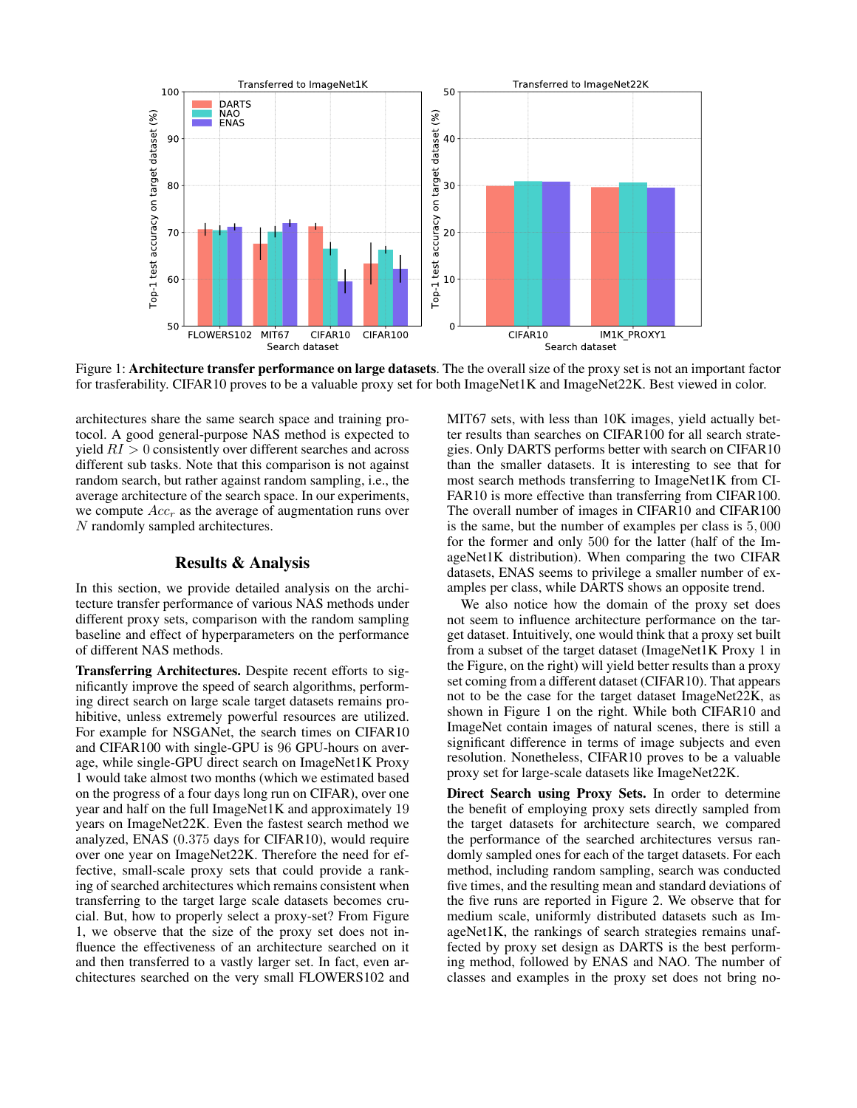

Figure 1: Architecture transfer performance on large datasets. The the overall size of the proxy set is not an important factor for trasferability. CIFAR10 proves to be a valuable proxy set for both ImageNet1K and ImageNet22K. Best viewed in color.

architectures share the same search space and training protocol. A good general-purpose NAS method is expected to yield *RI >* 0 consistently over different searches and across different sub tasks. Note that this comparison is not against random search, but rather against random sampling, i.e., the average architecture of the search space. In our experiments, we compute *Acc<sup>r</sup>* as the average of augmentation runs over *N* randomly sampled architectures.

## Results & Analysis

In this section, we provide detailed analysis on the architecture transfer performance of various NAS methods under different proxy sets, comparison with the random sampling baseline and effect of hyperparameters on the performance of different NAS methods.

Transferring Architectures. Despite recent efforts to significantly improve the speed of search algorithms, performing direct search on large scale target datasets remains prohibitive, unless extremely powerful resources are utilized. For example for NSGANet, the search times on CIFAR10 and CIFAR100 with single-GPU is 96 GPU-hours on average, while single-GPU direct search on ImageNet1K Proxy 1 would take almost two months (which we estimated based on the progress of a four days long run on CIFAR), over one year and half on the full ImageNet1K and approximately 19 years on ImageNet22K. Even the fastest search method we analyzed, ENAS (0*.*375 days for CIFAR10), would require over one year on ImageNet22K. Therefore the need for effective, small-scale proxy sets that could provide a ranking of searched architectures which remains consistent when transferring to the target large scale datasets becomes crucial. But, how to properly select a proxy-set? From Figure 1, we observe that the size of the proxy set does not influence the effectiveness of an architecture searched on it and then transferred to a vastly larger set. In fact, even architectures searched on the very small FLOWERS102 and MIT67 sets, with less than 10K images, yield actually better results than searches on CIFAR100 for all search strategies. Only DARTS performs better with search on CIFAR10 than the smaller datasets. It is interesting to see that for most search methods transferring to ImageNet1K from CI-FAR10 is more effective than transferring from CIFAR100. The overall number of images in CIFAR10 and CIFAR100 is the same, but the number of examples per class is 5*,* 000 for the former and only 500 for the latter (half of the ImageNet1K distribution). When comparing the two CIFAR datasets, ENAS seems to privilege a smaller number of examples per class, while DARTS shows an opposite trend.

We also notice how the domain of the proxy set does not seem to influence architecture performance on the target dataset. Intuitively, one would think that a proxy set built from a subset of the target dataset (ImageNet1K Proxy 1 in the Figure, on the right) will yield better results than a proxy set coming from a different dataset (CIFAR10). That appears not to be the case for the target dataset ImageNet22K, as shown in Figure 1 on the right. While both CIFAR10 and ImageNet contain images of natural scenes, there is still a significant difference in terms of image subjects and even resolution. Nonetheless, CIFAR10 proves to be a valuable proxy set for large-scale datasets like ImageNet22K.

Direct Search using Proxy Sets. In order to determine the benefit of employing proxy sets directly sampled from the target datasets for architecture search, we compared the performance of the searched architectures versus randomly sampled ones for each of the target datasets. For each method, including random sampling, search was conducted five times, and the resulting mean and standard deviations of the five runs are reported in Figure 2. We observe that for medium scale, uniformly distributed datasets such as ImageNet1K, the rankings of search strategies remains unaffected by proxy set design as DARTS is the best performing method, followed by ENAS and NAO. The number of classes and examples in the proxy set does not bring no-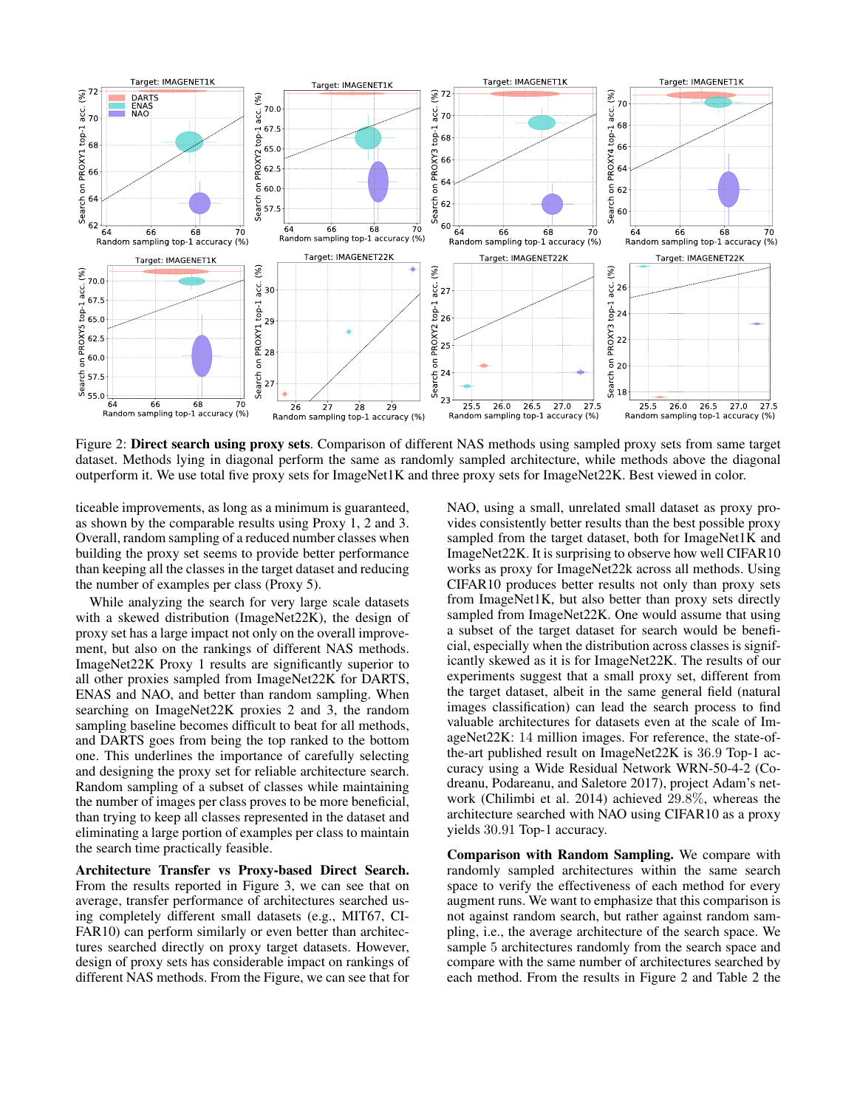

Figure 2: Direct search using proxy sets. Comparison of different NAS methods using sampled proxy sets from same target dataset. Methods lying in diagonal perform the same as randomly sampled architecture, while methods above the diagonal outperform it. We use total five proxy sets for ImageNet1K and three proxy sets for ImageNet22K. Best viewed in color.

ticeable improvements, as long as a minimum is guaranteed, as shown by the comparable results using Proxy 1, 2 and 3. Overall, random sampling of a reduced number classes when building the proxy set seems to provide better performance than keeping all the classes in the target dataset and reducing the number of examples per class (Proxy 5).

While analyzing the search for very large scale datasets with a skewed distribution (ImageNet22K), the design of proxy set has a large impact not only on the overall improvement, but also on the rankings of different NAS methods. ImageNet22K Proxy 1 results are significantly superior to all other proxies sampled from ImageNet22K for DARTS, ENAS and NAO, and better than random sampling. When searching on ImageNet22K proxies 2 and 3, the random sampling baseline becomes difficult to beat for all methods, and DARTS goes from being the top ranked to the bottom one. This underlines the importance of carefully selecting and designing the proxy set for reliable architecture search. Random sampling of a subset of classes while maintaining the number of images per class proves to be more beneficial, than trying to keep all classes represented in the dataset and eliminating a large portion of examples per class to maintain the search time practically feasible.

Architecture Transfer vs Proxy-based Direct Search. From the results reported in Figure 3, we can see that on average, transfer performance of architectures searched using completely different small datasets (e.g., MIT67, CI-FAR10) can perform similarly or even better than architectures searched directly on proxy target datasets. However, design of proxy sets has considerable impact on rankings of different NAS methods. From the Figure, we can see that for

NAO, using a small, unrelated small dataset as proxy provides consistently better results than the best possible proxy sampled from the target dataset, both for ImageNet1K and ImageNet22K. It is surprising to observe how well CIFAR10 works as proxy for ImageNet22k across all methods. Using CIFAR10 produces better results not only than proxy sets from ImageNet1K, but also better than proxy sets directly sampled from ImageNet22K. One would assume that using a subset of the target dataset for search would be beneficial, especially when the distribution across classes is significantly skewed as it is for ImageNet22K. The results of our experiments suggest that a small proxy set, different from the target dataset, albeit in the same general field (natural images classification) can lead the search process to find valuable architectures for datasets even at the scale of ImageNet22K: 14 million images. For reference, the state-ofthe-art published result on ImageNet22K is 36*.*9 Top-1 accuracy using a Wide Residual Network WRN-50-4-2 (Codreanu, Podareanu, and Saletore 2017), project Adam's network (Chilimbi et al. 2014) achieved 29*.*8%, whereas the architecture searched with NAO using CIFAR10 as a proxy yields 30*.*91 Top-1 accuracy.

Comparison with Random Sampling. We compare with randomly sampled architectures within the same search space to verify the effectiveness of each method for every augment runs. We want to emphasize that this comparison is not against random search, but rather against random sampling, i.e., the average architecture of the search space. We sample 5 architectures randomly from the search space and compare with the same number of architectures searched by each method. From the results in Figure 2 and Table 2 the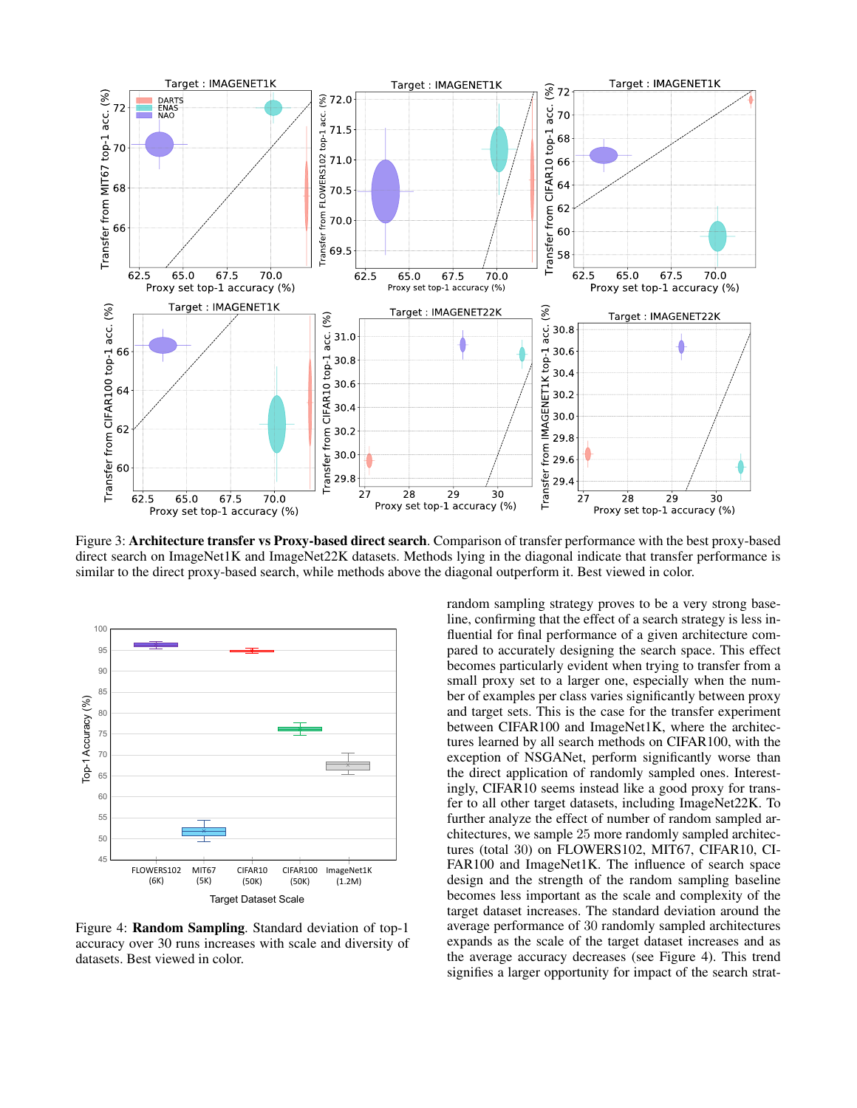

Figure 3: Architecture transfer vs Proxy-based direct search. Comparison of transfer performance with the best proxy-based direct search on ImageNet1K and ImageNet22K datasets. Methods lying in the diagonal indicate that transfer performance is similar to the direct proxy-based search, while methods above the diagonal outperform it. Best viewed in color.



Figure 4: Random Sampling. Standard deviation of top-1 accuracy over 30 runs increases with scale and diversity of datasets. Best viewed in color.

random sampling strategy proves to be a very strong baseline, confirming that the effect of a search strategy is less influential for final performance of a given architecture compared to accurately designing the search space. This effect becomes particularly evident when trying to transfer from a small proxy set to a larger one, especially when the number of examples per class varies significantly between proxy and target sets. This is the case for the transfer experiment between CIFAR100 and ImageNet1K, where the architectures learned by all search methods on CIFAR100, with the exception of NSGANet, perform significantly worse than the direct application of randomly sampled ones. Interestingly, CIFAR10 seems instead like a good proxy for transfer to all other target datasets, including ImageNet22K. To further analyze the effect of number of random sampled architectures, we sample 25 more randomly sampled architectures (total 30) on FLOWERS102, MIT67, CIFAR10, CI-FAR100 and ImageNet1K. The influence of search space design and the strength of the random sampling baseline becomes less important as the scale and complexity of the target dataset increases. The standard deviation around the average performance of 30 randomly sampled architectures expands as the scale of the target dataset increases and as the average accuracy decreases (see Figure 4). This trend signifies a larger opportunity for impact of the search strat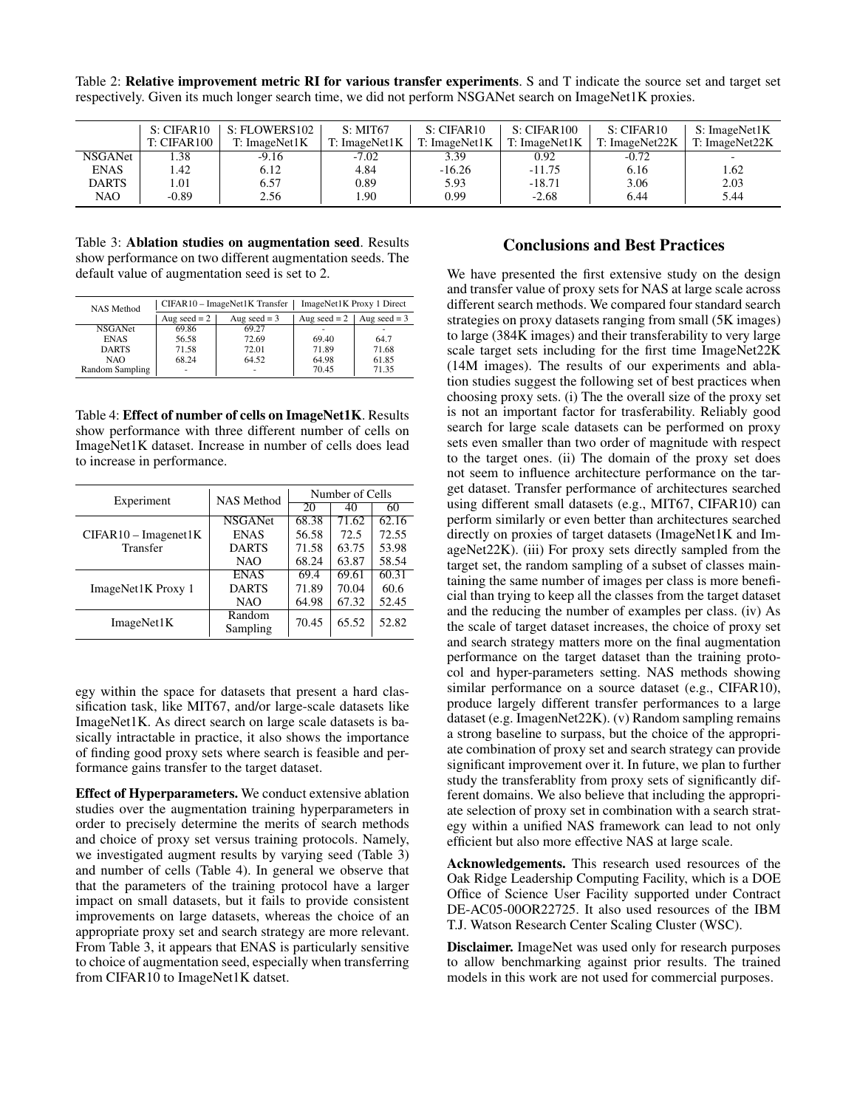Table 2: Relative improvement metric RI for various transfer experiments. S and T indicate the source set and target set respectively. Given its much longer search time, we did not perform NSGANet search on ImageNet1K proxies.

|             | S: CIFAR10  | S: FLOWERS102 | S: MIT67      | S: CIFAR10    | S: CIFAR100   | S: CIFAR10     | S: ImageNet1K  |
|-------------|-------------|---------------|---------------|---------------|---------------|----------------|----------------|
|             | T: CIFAR100 | T: ImageNet1K | T: ImageNet1K | T: ImageNet1K | T: ImageNet1K | T: ImageNet22K | T: ImageNet22K |
| NSGANet     | . .38       | $-9.16$       | $-7.02$       | 3.39          | 0.92          | $-0.72$        |                |
| <b>ENAS</b> | .42         | 6.12          | 4.84          | $-16.26$      | $-11.75$      | 6.16           | 1.62           |
| DARTS       | 1.01        | 6.57          | 0.89          | 5.93          | $-18.71$      | 3.06           | 2.03           |
| NAO         | $-0.89$     | 2.56          | 1.90          | 0.99          | $-2.68$       | 6.44           | 5.44           |

Table 3: Ablation studies on augmentation seed. Results show performance on two different augmentation seeds. The default value of augmentation seed is set to 2.

| <b>NAS Method</b> |                | CIFAR10 - ImageNet1K Transfer | ImageNet1K Proxy 1 Direct |                |  |
|-------------------|----------------|-------------------------------|---------------------------|----------------|--|
|                   | Aug seed $= 2$ | Aug seed $=$ 3                | Aug seed $= 2$            | Aug seed $=$ 3 |  |
| <b>NSGANet</b>    | 69.86          | 69.27                         |                           |                |  |
| <b>ENAS</b>       | 56.58          | 72.69                         | 69.40                     | 64.7           |  |
| <b>DARTS</b>      | 71.58          | 72.01                         | 71.89                     | 71.68          |  |
| NAO.              | 68.24          | 64.52                         | 64.98                     | 61.85          |  |
| Random Sampling   | ٠              | ٠                             | 70.45                     | 71.35          |  |

Table 4: Effect of number of cells on ImageNet1K. Results show performance with three different number of cells on ImageNet1K dataset. Increase in number of cells does lead to increase in performance.

| Experiment             | <b>NAS Method</b>  | Number of Cells |       |       |
|------------------------|--------------------|-----------------|-------|-------|
|                        |                    | 20              | 40    | 60    |
|                        | <b>NSGANet</b>     | 68.38           | 71.62 | 62.16 |
| $CIFAR10 - Imagenet1K$ | <b>ENAS</b>        | 56.58           | 72.5  | 72.55 |
| Transfer               | <b>DARTS</b>       | 71.58           | 63.75 | 53.98 |
|                        | NAO                | 68.24           | 63.87 | 58.54 |
| ImageNet1K Proxy 1     | <b>ENAS</b>        | 69.4            | 69.61 | 60.31 |
|                        | <b>DARTS</b>       | 71.89           | 70.04 | 60.6  |
|                        | NAO                | 64.98           | 67.32 | 52.45 |
| ImageNet1K             | Random<br>Sampling | 70.45           | 65.52 | 52.82 |

egy within the space for datasets that present a hard classification task, like MIT67, and/or large-scale datasets like ImageNet1K. As direct search on large scale datasets is basically intractable in practice, it also shows the importance of finding good proxy sets where search is feasible and performance gains transfer to the target dataset.

Effect of Hyperparameters. We conduct extensive ablation studies over the augmentation training hyperparameters in order to precisely determine the merits of search methods and choice of proxy set versus training protocols. Namely, we investigated augment results by varying seed (Table 3) and number of cells (Table 4). In general we observe that that the parameters of the training protocol have a larger impact on small datasets, but it fails to provide consistent improvements on large datasets, whereas the choice of an appropriate proxy set and search strategy are more relevant. From Table 3, it appears that ENAS is particularly sensitive to choice of augmentation seed, especially when transferring from CIFAR10 to ImageNet1K datset.

# Conclusions and Best Practices

We have presented the first extensive study on the design and transfer value of proxy sets for NAS at large scale across different search methods. We compared four standard search strategies on proxy datasets ranging from small (5K images) to large (384K images) and their transferability to very large scale target sets including for the first time ImageNet22K (14M images). The results of our experiments and ablation studies suggest the following set of best practices when choosing proxy sets. (i) The the overall size of the proxy set is not an important factor for trasferability. Reliably good search for large scale datasets can be performed on proxy sets even smaller than two order of magnitude with respect to the target ones. (ii) The domain of the proxy set does not seem to influence architecture performance on the target dataset. Transfer performance of architectures searched using different small datasets (e.g., MIT67, CIFAR10) can perform similarly or even better than architectures searched directly on proxies of target datasets (ImageNet1K and ImageNet22K). (iii) For proxy sets directly sampled from the target set, the random sampling of a subset of classes maintaining the same number of images per class is more beneficial than trying to keep all the classes from the target dataset and the reducing the number of examples per class. (iv) As the scale of target dataset increases, the choice of proxy set and search strategy matters more on the final augmentation performance on the target dataset than the training protocol and hyper-parameters setting. NAS methods showing similar performance on a source dataset (e.g., CIFAR10), produce largely different transfer performances to a large dataset (e.g. ImagenNet22K). (v) Random sampling remains a strong baseline to surpass, but the choice of the appropriate combination of proxy set and search strategy can provide significant improvement over it. In future, we plan to further study the transferablity from proxy sets of significantly different domains. We also believe that including the appropriate selection of proxy set in combination with a search strategy within a unified NAS framework can lead to not only efficient but also more effective NAS at large scale.

Acknowledgements. This research used resources of the Oak Ridge Leadership Computing Facility, which is a DOE Office of Science User Facility supported under Contract DE-AC05-00OR22725. It also used resources of the IBM T.J. Watson Research Center Scaling Cluster (WSC).

Disclaimer. ImageNet was used only for research purposes to allow benchmarking against prior results. The trained models in this work are not used for commercial purposes.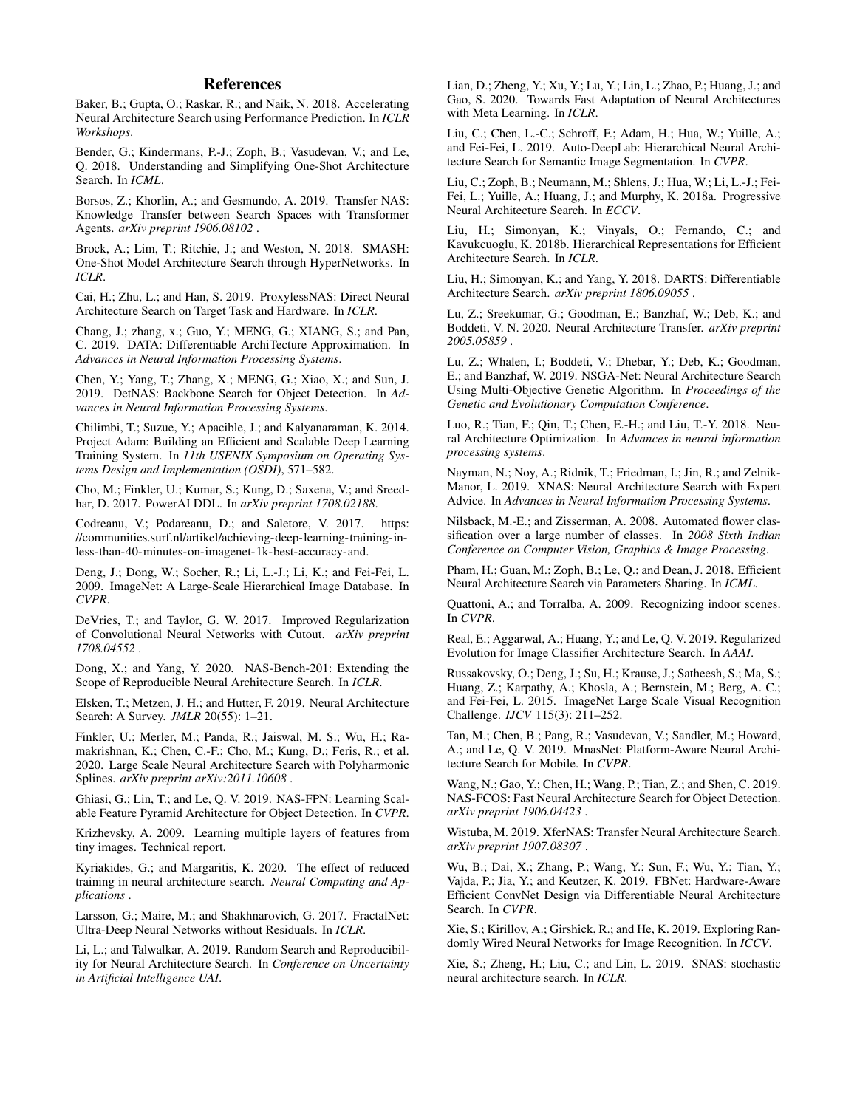# References

Baker, B.; Gupta, O.; Raskar, R.; and Naik, N. 2018. Accelerating Neural Architecture Search using Performance Prediction. In *ICLR Workshops*.

Bender, G.; Kindermans, P.-J.; Zoph, B.; Vasudevan, V.; and Le, Q. 2018. Understanding and Simplifying One-Shot Architecture Search. In *ICML*.

Borsos, Z.; Khorlin, A.; and Gesmundo, A. 2019. Transfer NAS: Knowledge Transfer between Search Spaces with Transformer Agents. *arXiv preprint 1906.08102* .

Brock, A.; Lim, T.; Ritchie, J.; and Weston, N. 2018. SMASH: One-Shot Model Architecture Search through HyperNetworks. In *ICLR*.

Cai, H.; Zhu, L.; and Han, S. 2019. ProxylessNAS: Direct Neural Architecture Search on Target Task and Hardware. In *ICLR*.

Chang, J.; zhang, x.; Guo, Y.; MENG, G.; XIANG, S.; and Pan, C. 2019. DATA: Differentiable ArchiTecture Approximation. In *Advances in Neural Information Processing Systems*.

Chen, Y.; Yang, T.; Zhang, X.; MENG, G.; Xiao, X.; and Sun, J. 2019. DetNAS: Backbone Search for Object Detection. In *Advances in Neural Information Processing Systems*.

Chilimbi, T.; Suzue, Y.; Apacible, J.; and Kalyanaraman, K. 2014. Project Adam: Building an Efficient and Scalable Deep Learning Training System. In *11th USENIX Symposium on Operating Systems Design and Implementation (OSDI)*, 571–582.

Cho, M.; Finkler, U.; Kumar, S.; Kung, D.; Saxena, V.; and Sreedhar, D. 2017. PowerAI DDL. In *arXiv preprint 1708.02188*.

Codreanu, V.; Podareanu, D.; and Saletore, V. 2017. https: //communities.surf.nl/artikel/achieving-deep-learning-training-inless-than-40-minutes-on-imagenet-1k-best-accuracy-and.

Deng, J.; Dong, W.; Socher, R.; Li, L.-J.; Li, K.; and Fei-Fei, L. 2009. ImageNet: A Large-Scale Hierarchical Image Database. In *CVPR*.

DeVries, T.; and Taylor, G. W. 2017. Improved Regularization of Convolutional Neural Networks with Cutout. *arXiv preprint 1708.04552* .

Dong, X.; and Yang, Y. 2020. NAS-Bench-201: Extending the Scope of Reproducible Neural Architecture Search. In *ICLR*.

Elsken, T.; Metzen, J. H.; and Hutter, F. 2019. Neural Architecture Search: A Survey. *JMLR* 20(55): 1–21.

Finkler, U.; Merler, M.; Panda, R.; Jaiswal, M. S.; Wu, H.; Ramakrishnan, K.; Chen, C.-F.; Cho, M.; Kung, D.; Feris, R.; et al. 2020. Large Scale Neural Architecture Search with Polyharmonic Splines. *arXiv preprint arXiv:2011.10608* .

Ghiasi, G.; Lin, T.; and Le, Q. V. 2019. NAS-FPN: Learning Scalable Feature Pyramid Architecture for Object Detection. In *CVPR*.

Krizhevsky, A. 2009. Learning multiple layers of features from tiny images. Technical report.

Kyriakides, G.; and Margaritis, K. 2020. The effect of reduced training in neural architecture search. *Neural Computing and Applications* .

Larsson, G.; Maire, M.; and Shakhnarovich, G. 2017. FractalNet: Ultra-Deep Neural Networks without Residuals. In *ICLR*.

Li, L.; and Talwalkar, A. 2019. Random Search and Reproducibility for Neural Architecture Search. In *Conference on Uncertainty in Artificial Intelligence UAI*.

Lian, D.; Zheng, Y.; Xu, Y.; Lu, Y.; Lin, L.; Zhao, P.; Huang, J.; and Gao, S. 2020. Towards Fast Adaptation of Neural Architectures with Meta Learning. In *ICLR*.

Liu, C.; Chen, L.-C.; Schroff, F.; Adam, H.; Hua, W.; Yuille, A.; and Fei-Fei, L. 2019. Auto-DeepLab: Hierarchical Neural Architecture Search for Semantic Image Segmentation. In *CVPR*.

Liu, C.; Zoph, B.; Neumann, M.; Shlens, J.; Hua, W.; Li, L.-J.; Fei-Fei, L.; Yuille, A.; Huang, J.; and Murphy, K. 2018a. Progressive Neural Architecture Search. In *ECCV*.

Liu, H.; Simonyan, K.; Vinyals, O.; Fernando, C.; and Kavukcuoglu, K. 2018b. Hierarchical Representations for Efficient Architecture Search. In *ICLR*.

Liu, H.; Simonyan, K.; and Yang, Y. 2018. DARTS: Differentiable Architecture Search. *arXiv preprint 1806.09055* .

Lu, Z.; Sreekumar, G.; Goodman, E.; Banzhaf, W.; Deb, K.; and Boddeti, V. N. 2020. Neural Architecture Transfer. *arXiv preprint 2005.05859* .

Lu, Z.; Whalen, I.; Boddeti, V.; Dhebar, Y.; Deb, K.; Goodman, E.; and Banzhaf, W. 2019. NSGA-Net: Neural Architecture Search Using Multi-Objective Genetic Algorithm. In *Proceedings of the Genetic and Evolutionary Computation Conference*.

Luo, R.; Tian, F.; Qin, T.; Chen, E.-H.; and Liu, T.-Y. 2018. Neural Architecture Optimization. In *Advances in neural information processing systems*.

Nayman, N.; Noy, A.; Ridnik, T.; Friedman, I.; Jin, R.; and Zelnik-Manor, L. 2019. XNAS: Neural Architecture Search with Expert Advice. In *Advances in Neural Information Processing Systems*.

Nilsback, M.-E.; and Zisserman, A. 2008. Automated flower classification over a large number of classes. In *2008 Sixth Indian Conference on Computer Vision, Graphics & Image Processing*.

Pham, H.; Guan, M.; Zoph, B.; Le, Q.; and Dean, J. 2018. Efficient Neural Architecture Search via Parameters Sharing. In *ICML*.

Quattoni, A.; and Torralba, A. 2009. Recognizing indoor scenes. In *CVPR*.

Real, E.; Aggarwal, A.; Huang, Y.; and Le, Q. V. 2019. Regularized Evolution for Image Classifier Architecture Search. In *AAAI*.

Russakovsky, O.; Deng, J.; Su, H.; Krause, J.; Satheesh, S.; Ma, S.; Huang, Z.; Karpathy, A.; Khosla, A.; Bernstein, M.; Berg, A. C.; and Fei-Fei, L. 2015. ImageNet Large Scale Visual Recognition Challenge. *IJCV* 115(3): 211–252.

Tan, M.; Chen, B.; Pang, R.; Vasudevan, V.; Sandler, M.; Howard, A.; and Le, Q. V. 2019. MnasNet: Platform-Aware Neural Architecture Search for Mobile. In *CVPR*.

Wang, N.; Gao, Y.; Chen, H.; Wang, P.; Tian, Z.; and Shen, C. 2019. NAS-FCOS: Fast Neural Architecture Search for Object Detection. *arXiv preprint 1906.04423* .

Wistuba, M. 2019. XferNAS: Transfer Neural Architecture Search. *arXiv preprint 1907.08307* .

Wu, B.; Dai, X.; Zhang, P.; Wang, Y.; Sun, F.; Wu, Y.; Tian, Y.; Vajda, P.; Jia, Y.; and Keutzer, K. 2019. FBNet: Hardware-Aware Efficient ConvNet Design via Differentiable Neural Architecture Search. In *CVPR*.

Xie, S.; Kirillov, A.; Girshick, R.; and He, K. 2019. Exploring Randomly Wired Neural Networks for Image Recognition. In *ICCV*.

Xie, S.; Zheng, H.; Liu, C.; and Lin, L. 2019. SNAS: stochastic neural architecture search. In *ICLR*.